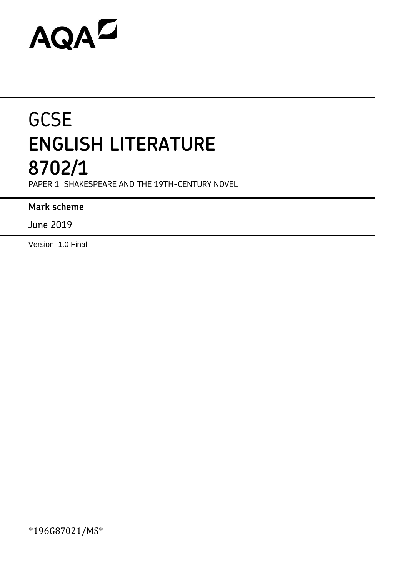# AQAZ

# **GCSE ENGLISH LITERATURE 8702/1**

PAPER 1 SHAKESPEARE AND THE 19TH-CENTURY NOVEL

# **Mark scheme**

June 2019

Version: 1.0 Final

\*196G87021/MS\*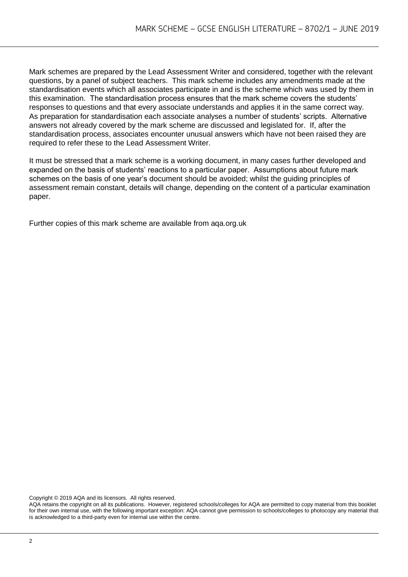Mark schemes are prepared by the Lead Assessment Writer and considered, together with the relevant questions, by a panel of subject teachers. This mark scheme includes any amendments made at the standardisation events which all associates participate in and is the scheme which was used by them in this examination. The standardisation process ensures that the mark scheme covers the students' responses to questions and that every associate understands and applies it in the same correct way. As preparation for standardisation each associate analyses a number of students' scripts. Alternative answers not already covered by the mark scheme are discussed and legislated for. If, after the standardisation process, associates encounter unusual answers which have not been raised they are required to refer these to the Lead Assessment Writer.

It must be stressed that a mark scheme is a working document, in many cases further developed and expanded on the basis of students' reactions to a particular paper. Assumptions about future mark schemes on the basis of one year's document should be avoided; whilst the guiding principles of assessment remain constant, details will change, depending on the content of a particular examination paper.

Further copies of this mark scheme are available from aqa.org.uk

Copyright © 2019 AQA and its licensors. All rights reserved.

AQA retains the copyright on all its publications. However, registered schools/colleges for AQA are permitted to copy material from this booklet for their own internal use, with the following important exception: AQA cannot give permission to schools/colleges to photocopy any material that is acknowledged to a third-party even for internal use within the centre.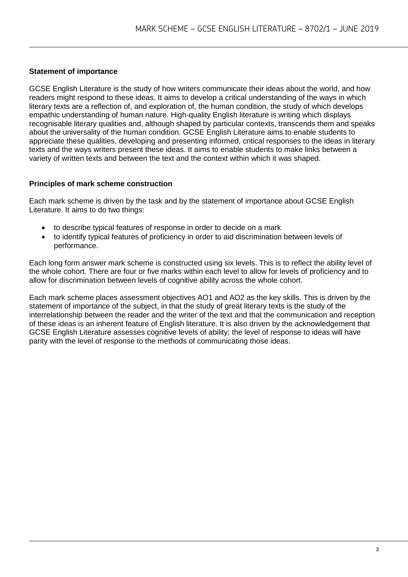# **Statement of importance**

GCSE English Literature is the study of how writers communicate their ideas about the world, and how readers might respond to these ideas. It aims to develop a critical understanding of the ways in which literary texts are a reflection of, and exploration of, the human condition, the study of which develops empathic understanding of human nature. High-quality English literature is writing which displays recognisable literary qualities and, although shaped by particular contexts, transcends them and speaks about the universality of the human condition. GCSE English Literature aims to enable students to appreciate these qualities, developing and presenting informed, critical responses to the ideas in literary texts and the ways writers present these ideas. It aims to enable students to make links between a variety of written texts and between the text and the context within which it was shaped.

#### **Principles of mark scheme construction**

Each mark scheme is driven by the task and by the statement of importance about GCSE English Literature. It aims to do two things:

- to describe typical features of response in order to decide on a mark
- to identify typical features of proficiency in order to aid discrimination between levels of performance.

Each long form answer mark scheme is constructed using six levels. This is to reflect the ability level of the whole cohort. There are four or five marks within each level to allow for levels of proficiency and to allow for discrimination between levels of cognitive ability across the whole cohort.

Each mark scheme places assessment objectives AO1 and AO2 as the key skills. This is driven by the statement of importance of the subject, in that the study of great literary texts is the study of the interrelationship between the reader and the writer of the text and that the communication and reception of these ideas is an inherent feature of English literature. It is also driven by the acknowledgement that GCSE English Literature assesses cognitive levels of ability; the level of response to ideas will have parity with the level of response to the methods of communicating those ideas.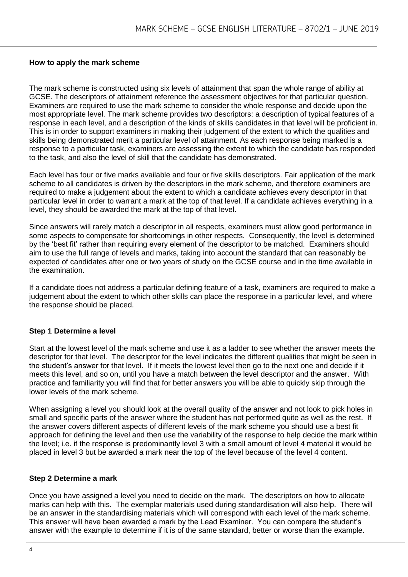#### **How to apply the mark scheme**

The mark scheme is constructed using six levels of attainment that span the whole range of ability at GCSE. The descriptors of attainment reference the assessment objectives for that particular question. Examiners are required to use the mark scheme to consider the whole response and decide upon the most appropriate level. The mark scheme provides two descriptors: a description of typical features of a response in each level, and a description of the kinds of skills candidates in that level will be proficient in. This is in order to support examiners in making their judgement of the extent to which the qualities and skills being demonstrated merit a particular level of attainment. As each response being marked is a response to a particular task, examiners are assessing the extent to which the candidate has responded to the task, and also the level of skill that the candidate has demonstrated.

Each level has four or five marks available and four or five skills descriptors. Fair application of the mark scheme to all candidates is driven by the descriptors in the mark scheme, and therefore examiners are required to make a judgement about the extent to which a candidate achieves every descriptor in that particular level in order to warrant a mark at the top of that level. If a candidate achieves everything in a level, they should be awarded the mark at the top of that level.

Since answers will rarely match a descriptor in all respects, examiners must allow good performance in some aspects to compensate for shortcomings in other respects. Consequently, the level is determined by the 'best fit' rather than requiring every element of the descriptor to be matched. Examiners should aim to use the full range of levels and marks, taking into account the standard that can reasonably be expected of candidates after one or two years of study on the GCSE course and in the time available in the examination.

If a candidate does not address a particular defining feature of a task, examiners are required to make a judgement about the extent to which other skills can place the response in a particular level, and where the response should be placed.

#### **Step 1 Determine a level**

Start at the lowest level of the mark scheme and use it as a ladder to see whether the answer meets the descriptor for that level. The descriptor for the level indicates the different qualities that might be seen in the student's answer for that level. If it meets the lowest level then go to the next one and decide if it meets this level, and so on, until you have a match between the level descriptor and the answer. With practice and familiarity you will find that for better answers you will be able to quickly skip through the lower levels of the mark scheme.

When assigning a level you should look at the overall quality of the answer and not look to pick holes in small and specific parts of the answer where the student has not performed quite as well as the rest. If the answer covers different aspects of different levels of the mark scheme you should use a best fit approach for defining the level and then use the variability of the response to help decide the mark within the level; i.e. if the response is predominantly level 3 with a small amount of level 4 material it would be placed in level 3 but be awarded a mark near the top of the level because of the level 4 content.

#### **Step 2 Determine a mark**

Once you have assigned a level you need to decide on the mark. The descriptors on how to allocate marks can help with this. The exemplar materials used during standardisation will also help. There will be an answer in the standardising materials which will correspond with each level of the mark scheme. This answer will have been awarded a mark by the Lead Examiner. You can compare the student's answer with the example to determine if it is of the same standard, better or worse than the example.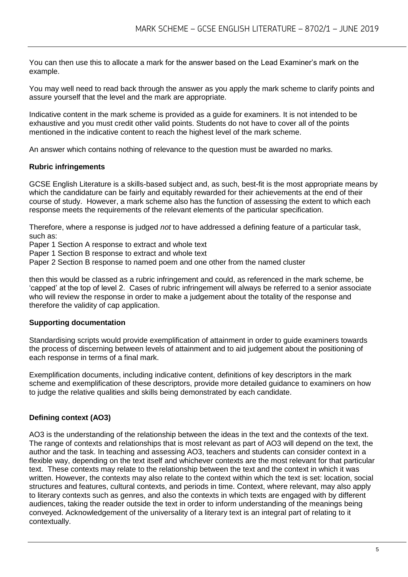You can then use this to allocate a mark for the answer based on the Lead Examiner's mark on the example.

You may well need to read back through the answer as you apply the mark scheme to clarify points and assure yourself that the level and the mark are appropriate.

Indicative content in the mark scheme is provided as a guide for examiners. It is not intended to be exhaustive and you must credit other valid points. Students do not have to cover all of the points mentioned in the indicative content to reach the highest level of the mark scheme.

An answer which contains nothing of relevance to the question must be awarded no marks.

#### **Rubric infringements**

GCSE English Literature is a skills-based subject and, as such, best-fit is the most appropriate means by which the candidature can be fairly and equitably rewarded for their achievements at the end of their course of study. However, a mark scheme also has the function of assessing the extent to which each response meets the requirements of the relevant elements of the particular specification.

Therefore, where a response is judged *not* to have addressed a defining feature of a particular task, such as:

Paper 1 Section A response to extract and whole text

Paper 1 Section B response to extract and whole text

Paper 2 Section B response to named poem and one other from the named cluster

then this would be classed as a rubric infringement and could, as referenced in the mark scheme, be 'capped' at the top of level 2. Cases of rubric infringement will always be referred to a senior associate who will review the response in order to make a judgement about the totality of the response and therefore the validity of cap application.

#### **Supporting documentation**

Standardising scripts would provide exemplification of attainment in order to guide examiners towards the process of discerning between levels of attainment and to aid judgement about the positioning of each response in terms of a final mark.

Exemplification documents, including indicative content, definitions of key descriptors in the mark scheme and exemplification of these descriptors, provide more detailed guidance to examiners on how to judge the relative qualities and skills being demonstrated by each candidate.

#### **Defining context (AO3)**

AO3 is the understanding of the relationship between the ideas in the text and the contexts of the text. The range of contexts and relationships that is most relevant as part of AO3 will depend on the text, the author and the task. In teaching and assessing AO3, teachers and students can consider context in a flexible way, depending on the text itself and whichever contexts are the most relevant for that particular text. These contexts may relate to the relationship between the text and the context in which it was written. However, the contexts may also relate to the context within which the text is set: location, social structures and features, cultural contexts, and periods in time. Context, where relevant, may also apply to literary contexts such as genres, and also the contexts in which texts are engaged with by different audiences, taking the reader outside the text in order to inform understanding of the meanings being conveyed. Acknowledgement of the universality of a literary text is an integral part of relating to it contextually.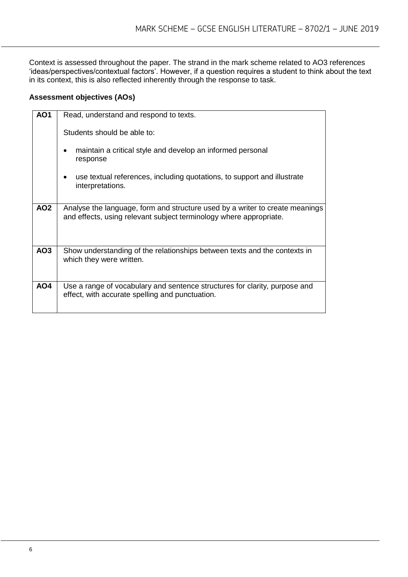Context is assessed throughout the paper. The strand in the mark scheme related to AO3 references 'ideas/perspectives/contextual factors'. However, if a question requires a student to think about the text in its context, this is also reflected inherently through the response to task.

# **Assessment objectives (AOs)**

| <b>AO1</b>      | Read, understand and respond to texts.                                                                                                             |  |  |
|-----------------|----------------------------------------------------------------------------------------------------------------------------------------------------|--|--|
|                 | Students should be able to:                                                                                                                        |  |  |
|                 | maintain a critical style and develop an informed personal<br>٠<br>response                                                                        |  |  |
|                 | use textual references, including quotations, to support and illustrate<br>$\bullet$<br>interpretations.                                           |  |  |
| AO <sub>2</sub> | Analyse the language, form and structure used by a writer to create meanings<br>and effects, using relevant subject terminology where appropriate. |  |  |
| AO <sub>3</sub> | Show understanding of the relationships between texts and the contexts in<br>which they were written.                                              |  |  |
| AO4             | Use a range of vocabulary and sentence structures for clarity, purpose and<br>effect, with accurate spelling and punctuation.                      |  |  |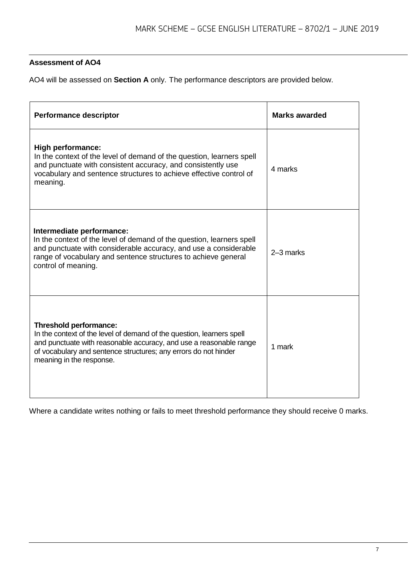# **Assessment of AO4**

AO4 will be assessed on **Section A** only. The performance descriptors are provided below.

| <b>Performance descriptor</b>                                                                                                                                                                                                                                               | <b>Marks awarded</b> |  |
|-----------------------------------------------------------------------------------------------------------------------------------------------------------------------------------------------------------------------------------------------------------------------------|----------------------|--|
| <b>High performance:</b><br>In the context of the level of demand of the question, learners spell<br>and punctuate with consistent accuracy, and consistently use<br>vocabulary and sentence structures to achieve effective control of<br>meaning.                         | 4 marks              |  |
| Intermediate performance:<br>In the context of the level of demand of the question, learners spell<br>and punctuate with considerable accuracy, and use a considerable<br>range of vocabulary and sentence structures to achieve general<br>control of meaning.             | 2-3 marks            |  |
| <b>Threshold performance:</b><br>In the context of the level of demand of the question, learners spell<br>and punctuate with reasonable accuracy, and use a reasonable range<br>of vocabulary and sentence structures; any errors do not hinder<br>meaning in the response. | 1 mark               |  |

Where a candidate writes nothing or fails to meet threshold performance they should receive 0 marks.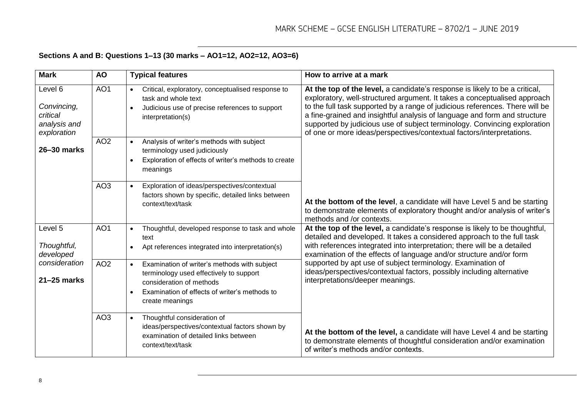# **Sections A and B: Questions 1–13 (30 marks – AO1=12, AO2=12, AO3=6)**

| <b>Mark</b>                                                             | <b>AO</b>       | <b>Typical features</b>                                                                                                                                                                              | How to arrive at a mark                                                                                                                                                                                                                                                                                                                                                                                                                                                     |
|-------------------------------------------------------------------------|-----------------|------------------------------------------------------------------------------------------------------------------------------------------------------------------------------------------------------|-----------------------------------------------------------------------------------------------------------------------------------------------------------------------------------------------------------------------------------------------------------------------------------------------------------------------------------------------------------------------------------------------------------------------------------------------------------------------------|
| Level 6<br>Convincing,<br>critical<br>analysis and<br>exploration       | AO <sub>1</sub> | Critical, exploratory, conceptualised response to<br>$\bullet$<br>task and whole text<br>Judicious use of precise references to support<br>interpretation(s)                                         | At the top of the level, a candidate's response is likely to be a critical,<br>exploratory, well-structured argument. It takes a conceptualised approach<br>to the full task supported by a range of judicious references. There will be<br>a fine-grained and insightful analysis of language and form and structure<br>supported by judicious use of subject terminology. Convincing exploration<br>of one or more ideas/perspectives/contextual factors/interpretations. |
| 26-30 marks                                                             | AO <sub>2</sub> | Analysis of writer's methods with subject<br>$\bullet$<br>terminology used judiciously<br>Exploration of effects of writer's methods to create<br>meanings                                           |                                                                                                                                                                                                                                                                                                                                                                                                                                                                             |
|                                                                         | AO <sub>3</sub> | Exploration of ideas/perspectives/contextual<br>factors shown by specific, detailed links between<br>context/text/task                                                                               | At the bottom of the level, a candidate will have Level 5 and be starting<br>to demonstrate elements of exploratory thought and/or analysis of writer's<br>methods and /or contexts.                                                                                                                                                                                                                                                                                        |
| Level 5<br>Thoughtful,<br>developed<br>consideration<br>$21 - 25$ marks | AO <sub>1</sub> | Thoughtful, developed response to task and whole<br>$\bullet$<br>text<br>Apt references integrated into interpretation(s)                                                                            | At the top of the level, a candidate's response is likely to be thoughtful,<br>detailed and developed. It takes a considered approach to the full task<br>with references integrated into interpretation; there will be a detailed<br>examination of the effects of language and/or structure and/or form                                                                                                                                                                   |
|                                                                         | AO <sub>2</sub> | Examination of writer's methods with subject<br>$\bullet$<br>terminology used effectively to support<br>consideration of methods<br>Examination of effects of writer's methods to<br>create meanings | supported by apt use of subject terminology. Examination of<br>ideas/perspectives/contextual factors, possibly including alternative<br>interpretations/deeper meanings.                                                                                                                                                                                                                                                                                                    |
|                                                                         | AO <sub>3</sub> | Thoughtful consideration of<br>$\bullet$<br>ideas/perspectives/contextual factors shown by<br>examination of detailed links between<br>context/text/task                                             | At the bottom of the level, a candidate will have Level 4 and be starting<br>to demonstrate elements of thoughtful consideration and/or examination<br>of writer's methods and/or contexts.                                                                                                                                                                                                                                                                                 |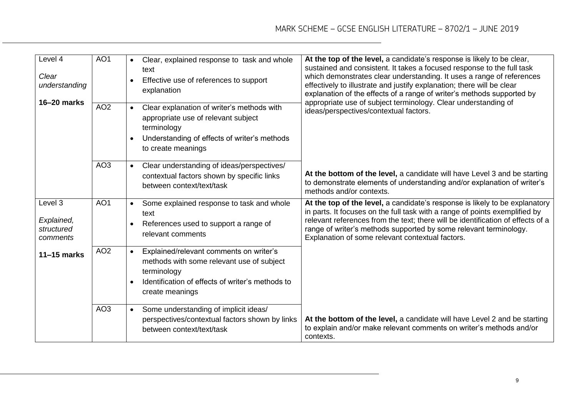| Level 4<br>Clear<br>understanding<br>16-20 marks | AO <sub>1</sub> | Clear, explained response to task and whole<br>$\bullet$<br>text<br>Effective use of references to support<br>explanation                                                               | At the top of the level, a candidate's response is likely to be clear,<br>sustained and consistent. It takes a focused response to the full task<br>which demonstrates clear understanding. It uses a range of references<br>effectively to illustrate and justify explanation; there will be clear<br>explanation of the effects of a range of writer's methods supported by<br>appropriate use of subject terminology. Clear understanding of |  |
|--------------------------------------------------|-----------------|-----------------------------------------------------------------------------------------------------------------------------------------------------------------------------------------|-------------------------------------------------------------------------------------------------------------------------------------------------------------------------------------------------------------------------------------------------------------------------------------------------------------------------------------------------------------------------------------------------------------------------------------------------|--|
|                                                  | AO <sub>2</sub> | Clear explanation of writer's methods with<br>$\bullet$<br>appropriate use of relevant subject<br>terminology<br>Understanding of effects of writer's methods<br>to create meanings     | ideas/perspectives/contextual factors.                                                                                                                                                                                                                                                                                                                                                                                                          |  |
|                                                  | AO <sub>3</sub> | Clear understanding of ideas/perspectives/<br>$\bullet$<br>contextual factors shown by specific links<br>between context/text/task                                                      | At the bottom of the level, a candidate will have Level 3 and be starting<br>to demonstrate elements of understanding and/or explanation of writer's<br>methods and/or contexts.                                                                                                                                                                                                                                                                |  |
| Level 3<br>Explained,<br>structured<br>comments  | AO <sub>1</sub> | Some explained response to task and whole<br>$\bullet$<br>text<br>References used to support a range of<br>relevant comments                                                            | At the top of the level, a candidate's response is likely to be explanatory<br>in parts. It focuses on the full task with a range of points exemplified by<br>relevant references from the text; there will be identification of effects of a<br>range of writer's methods supported by some relevant terminology.<br>Explanation of some relevant contextual factors.                                                                          |  |
| 11-15 marks                                      | AO <sub>2</sub> | Explained/relevant comments on writer's<br>$\bullet$<br>methods with some relevant use of subject<br>terminology<br>Identification of effects of writer's methods to<br>create meanings |                                                                                                                                                                                                                                                                                                                                                                                                                                                 |  |
|                                                  | AO <sub>3</sub> | Some understanding of implicit ideas/<br>$\bullet$<br>perspectives/contextual factors shown by links<br>between context/text/task                                                       | At the bottom of the level, a candidate will have Level 2 and be starting<br>to explain and/or make relevant comments on writer's methods and/or<br>contexts.                                                                                                                                                                                                                                                                                   |  |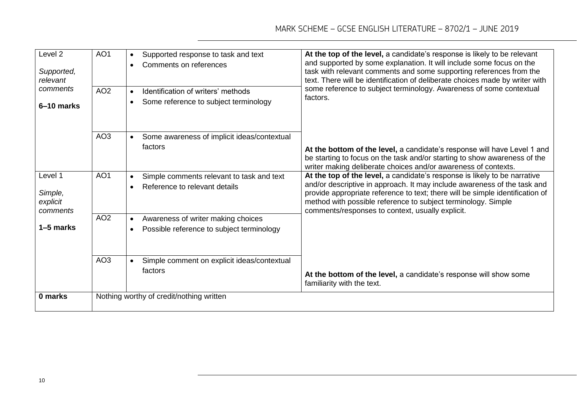| Level <sub>2</sub><br>Supported,<br>relevant            | AO <sub>1</sub> | Supported response to task and text<br>$\bullet$<br>Comments on references                            | At the top of the level, a candidate's response is likely to be relevant<br>and supported by some explanation. It will include some focus on the<br>task with relevant comments and some supporting references from the<br>text. There will be identification of deliberate choices made by writer with<br>some reference to subject terminology. Awareness of some contextual<br>factors. |
|---------------------------------------------------------|-----------------|-------------------------------------------------------------------------------------------------------|--------------------------------------------------------------------------------------------------------------------------------------------------------------------------------------------------------------------------------------------------------------------------------------------------------------------------------------------------------------------------------------------|
| comments<br>6-10 marks                                  | AO <sub>2</sub> | Identification of writers' methods<br>$\bullet$<br>Some reference to subject terminology<br>$\bullet$ |                                                                                                                                                                                                                                                                                                                                                                                            |
|                                                         | AO <sub>3</sub> | Some awareness of implicit ideas/contextual<br>$\bullet$<br>factors                                   | At the bottom of the level, a candidate's response will have Level 1 and<br>be starting to focus on the task and/or starting to show awareness of the<br>writer making deliberate choices and/or awareness of contexts.                                                                                                                                                                    |
| Level 1<br>Simple,<br>explicit<br>comments<br>1–5 marks | AO <sub>1</sub> | Simple comments relevant to task and text<br>$\bullet$<br>Reference to relevant details               | At the top of the level, a candidate's response is likely to be narrative<br>and/or descriptive in approach. It may include awareness of the task and<br>provide appropriate reference to text; there will be simple identification of<br>method with possible reference to subject terminology. Simple<br>comments/responses to context, usually explicit.                                |
|                                                         | AO <sub>2</sub> | Awareness of writer making choices<br>$\bullet$<br>Possible reference to subject terminology          |                                                                                                                                                                                                                                                                                                                                                                                            |
|                                                         | AO <sub>3</sub> | Simple comment on explicit ideas/contextual<br>factors                                                | At the bottom of the level, a candidate's response will show some<br>familiarity with the text.                                                                                                                                                                                                                                                                                            |
| 0 marks                                                 |                 | Nothing worthy of credit/nothing written                                                              |                                                                                                                                                                                                                                                                                                                                                                                            |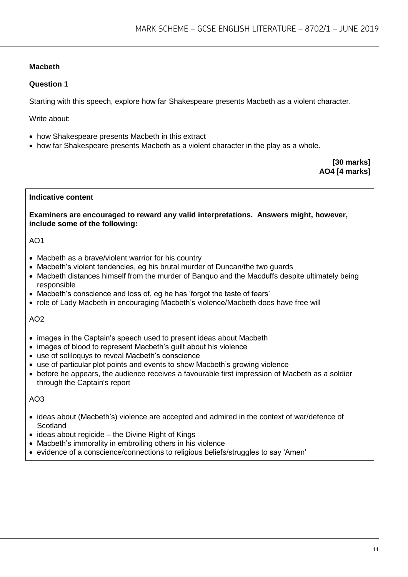# **Macbeth**

#### **Question 1**

Starting with this speech, explore how far Shakespeare presents Macbeth as a violent character.

Write about:

- how Shakespeare presents Macbeth in this extract
- how far Shakespeare presents Macbeth as a violent character in the play as a whole.

**[30 marks] AO4 [4 marks]**

#### **Indicative content**

**Examiners are encouraged to reward any valid interpretations. Answers might, however, include some of the following:**

#### $AO1$

- Macbeth as a brave/violent warrior for his country
- Macbeth's violent tendencies, eg his brutal murder of Duncan/the two guards
- Macbeth distances himself from the murder of Banquo and the Macduffs despite ultimately being responsible
- Macbeth's conscience and loss of, eg he has 'forgot the taste of fears'
- role of Lady Macbeth in encouraging Macbeth's violence/Macbeth does have free will

#### AO2

- images in the Captain's speech used to present ideas about Macbeth
- images of blood to represent Macbeth's guilt about his violence
- use of soliloquys to reveal Macbeth's conscience
- use of particular plot points and events to show Macbeth's growing violence
- before he appears, the audience receives a favourable first impression of Macbeth as a soldier through the Captain's report

- ideas about (Macbeth's) violence are accepted and admired in the context of war/defence of **Scotland**
- $\bullet$  ideas about regicide the Divine Right of Kings
- Macbeth's immorality in embroiling others in his violence
- evidence of a conscience/connections to religious beliefs/struggles to say 'Amen'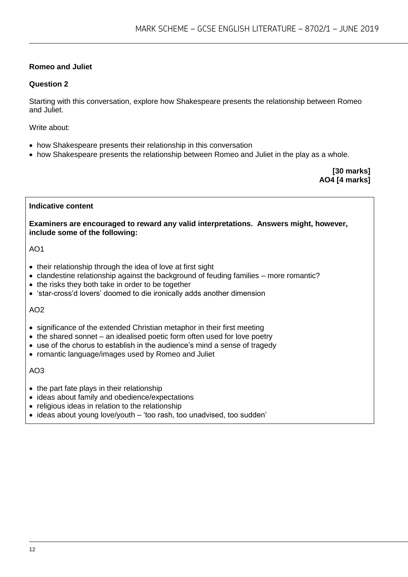# **Romeo and Juliet**

# **Question 2**

Starting with this conversation, explore how Shakespeare presents the relationship between Romeo and Juliet.

Write about:

- how Shakespeare presents their relationship in this conversation
- how Shakespeare presents the relationship between Romeo and Juliet in the play as a whole.

**[30 marks] AO4 [4 marks]**

#### **Indicative content**

**Examiners are encouraged to reward any valid interpretations. Answers might, however, include some of the following:**

AO1

- their relationship through the idea of love at first sight
- clandestine relationship against the background of feuding families more romantic?
- the risks they both take in order to be together
- 'star-cross'd lovers' doomed to die ironically adds another dimension

#### AO2

- significance of the extended Christian metaphor in their first meeting
- the shared sonnet an idealised poetic form often used for love poetry
- use of the chorus to establish in the audience's mind a sense of tragedy
- romantic language/images used by Romeo and Juliet

- $\bullet$  the part fate plays in their relationship
- ideas about family and obedience/expectations
- religious ideas in relation to the relationship
- ideas about young love/youth 'too rash, too unadvised, too sudden'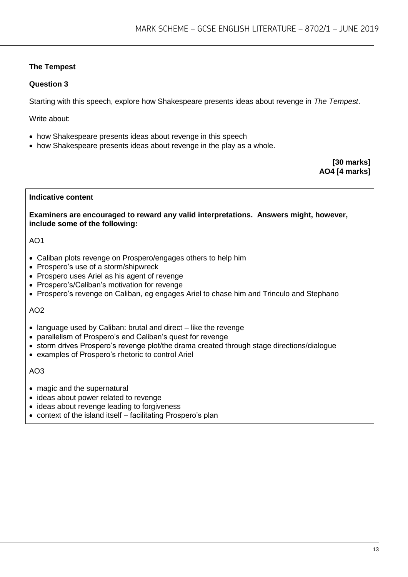# **The Tempest**

# **Question 3**

Starting with this speech, explore how Shakespeare presents ideas about revenge in *The Tempest*.

Write about:

- how Shakespeare presents ideas about revenge in this speech
- how Shakespeare presents ideas about revenge in the play as a whole.

**[30 marks] AO4 [4 marks]**

### **Indicative content**

**Examiners are encouraged to reward any valid interpretations. Answers might, however, include some of the following:**

# $AO1$

- Caliban plots revenge on Prospero/engages others to help him
- Prospero's use of a storm/shipwreck
- Prospero uses Ariel as his agent of revenge
- Prospero's/Caliban's motivation for revenge
- Prospero's revenge on Caliban, eg engages Ariel to chase him and Trinculo and Stephano

# AO2

- language used by Caliban: brutal and direct like the revenge
- parallelism of Prospero's and Caliban's quest for revenge
- storm drives Prospero's revenge plot/the drama created through stage directions/dialogue
- examples of Prospero's rhetoric to control Ariel

- magic and the supernatural
- ideas about power related to revenge
- ideas about revenge leading to forgiveness
- context of the island itself facilitating Prospero's plan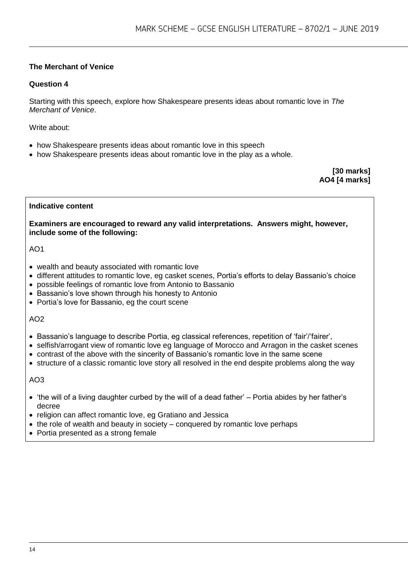# **The Merchant of Venice**

### **Question 4**

Starting with this speech, explore how Shakespeare presents ideas about romantic love in *The Merchant of Venice*.

Write about:

- how Shakespeare presents ideas about romantic love in this speech
- how Shakespeare presents ideas about romantic love in the play as a whole.

**[30 marks] AO4 [4 marks]**

#### **Indicative content**

**Examiners are encouraged to reward any valid interpretations. Answers might, however, include some of the following:**

AO1

- wealth and beauty associated with romantic love
- different attitudes to romantic love, eg casket scenes, Portia's efforts to delay Bassanio's choice
- possible feelings of romantic love from Antonio to Bassanio
- Bassanio's love shown through his honesty to Antonio
- Portia's love for Bassanio, eg the court scene

#### AO2

- Bassanio's language to describe Portia, eg classical references, repetition of 'fair'/'fairer',
- selfish/arrogant view of romantic love eg language of Morocco and Arragon in the casket scenes
- contrast of the above with the sincerity of Bassanio's romantic love in the same scene
- structure of a classic romantic love story all resolved in the end despite problems along the way

- 'the will of a living daughter curbed by the will of a dead father' Portia abides by her father's decree
- religion can affect romantic love, eg Gratiano and Jessica
- $\bullet$  the role of wealth and beauty in society conquered by romantic love perhaps
- Portia presented as a strong female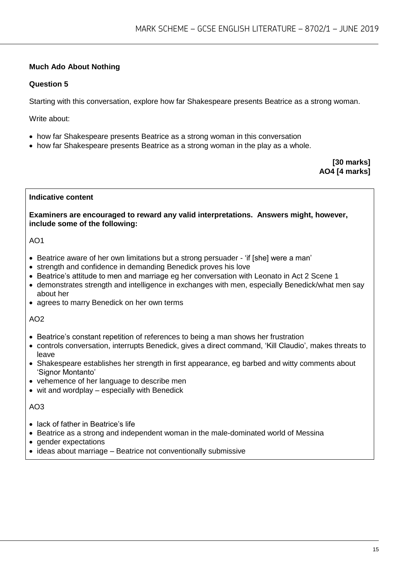# **Much Ado About Nothing**

### **Question 5**

Starting with this conversation, explore how far Shakespeare presents Beatrice as a strong woman.

Write about:

- how far Shakespeare presents Beatrice as a strong woman in this conversation
- how far Shakespeare presents Beatrice as a strong woman in the play as a whole.

**[30 marks] AO4 [4 marks]**

#### **Indicative content**

**Examiners are encouraged to reward any valid interpretations. Answers might, however, include some of the following:**

#### $AO1$

- Beatrice aware of her own limitations but a strong persuader 'if [she] were a man'
- strength and confidence in demanding Benedick proves his love
- Beatrice's attitude to men and marriage eg her conversation with Leonato in Act 2 Scene 1
- demonstrates strength and intelligence in exchanges with men, especially Benedick/what men say about her
- agrees to marry Benedick on her own terms

#### AO2

- Beatrice's constant repetition of references to being a man shows her frustration
- controls conversation, interrupts Benedick, gives a direct command, 'Kill Claudio', makes threats to leave
- Shakespeare establishes her strength in first appearance, eg barbed and witty comments about 'Signor Montanto'
- vehemence of her language to describe men
- wit and wordplay especially with Benedick

- lack of father in Beatrice's life
- Beatrice as a strong and independent woman in the male-dominated world of Messina
- gender expectations
- ideas about marriage Beatrice not conventionally submissive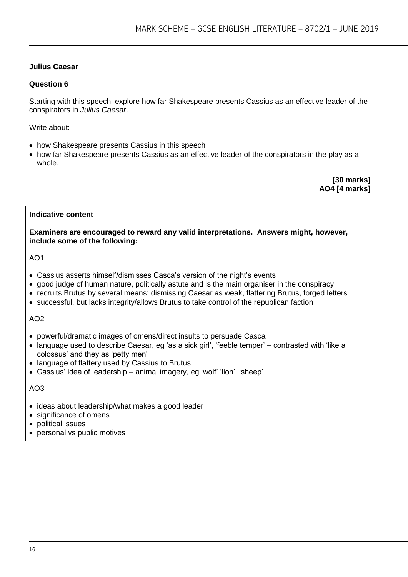# **Julius Caesar**

#### **Question 6**

Starting with this speech, explore how far Shakespeare presents Cassius as an effective leader of the conspirators in *Julius Caesar*.

Write about:

- how Shakespeare presents Cassius in this speech
- how far Shakespeare presents Cassius as an effective leader of the conspirators in the play as a whole.

**[30 marks] AO4 [4 marks]**

#### **Indicative content**

**Examiners are encouraged to reward any valid interpretations. Answers might, however, include some of the following:**

AO1

- Cassius asserts himself/dismisses Casca's version of the night's events
- good judge of human nature, politically astute and is the main organiser in the conspiracy
- recruits Brutus by several means: dismissing Caesar as weak, flattering Brutus, forged letters
- successful, but lacks integrity/allows Brutus to take control of the republican faction

#### AO2

- powerful/dramatic images of omens/direct insults to persuade Casca
- language used to describe Caesar, eg 'as a sick girl', 'feeble temper' contrasted with 'like a colossus' and they as 'petty men'
- language of flattery used by Cassius to Brutus
- Cassius' idea of leadership animal imagery, eg 'wolf' 'lion', 'sheep'

- ideas about leadership/what makes a good leader
- significance of omens
- political issues
- personal vs public motives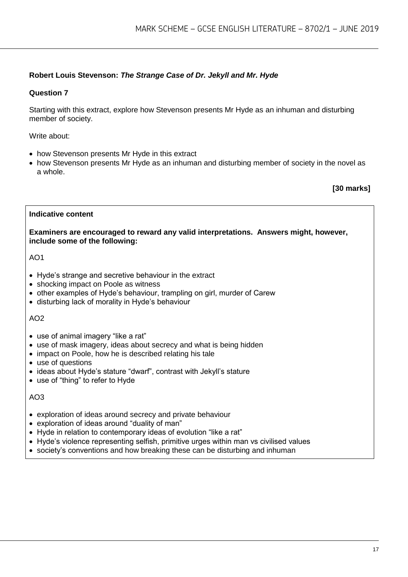# **Robert Louis Stevenson:** *The Strange Case of Dr. Jekyll and Mr. Hyde*

#### **Question 7**

Starting with this extract, explore how Stevenson presents Mr Hyde as an inhuman and disturbing member of society.

Write about:

- how Stevenson presents Mr Hyde in this extract
- how Stevenson presents Mr Hyde as an inhuman and disturbing member of society in the novel as a whole.

**[30 marks]**

#### **Indicative content**

**Examiners are encouraged to reward any valid interpretations. Answers might, however, include some of the following:**

AO1

- Hyde's strange and secretive behaviour in the extract
- shocking impact on Poole as witness
- other examples of Hyde's behaviour, trampling on girl, murder of Carew
- disturbing lack of morality in Hyde's behaviour

#### AO2

- use of animal imagery "like a rat"
- use of mask imagery, ideas about secrecy and what is being hidden
- impact on Poole, how he is described relating his tale
- use of questions
- ideas about Hyde's stature "dwarf", contrast with Jekyll's stature
- use of "thing" to refer to Hyde

- exploration of ideas around secrecy and private behaviour
- exploration of ideas around "duality of man"
- Hyde in relation to contemporary ideas of evolution "like a rat"
- Hyde's violence representing selfish, primitive urges within man vs civilised values
- society's conventions and how breaking these can be disturbing and inhuman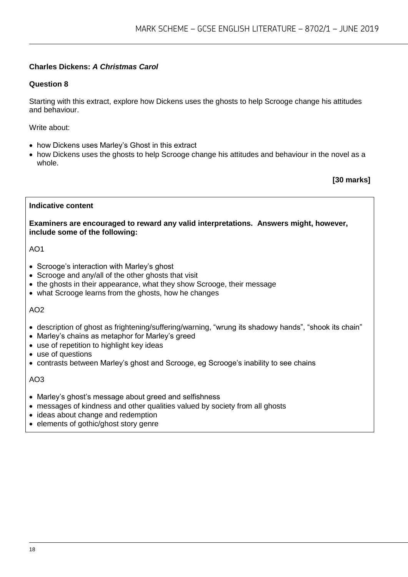# **Charles Dickens:** *A Christmas Carol*

# **Question 8**

Starting with this extract, explore how Dickens uses the ghosts to help Scrooge change his attitudes and behaviour.

Write about:

- how Dickens uses Marley's Ghost in this extract
- how Dickens uses the ghosts to help Scrooge change his attitudes and behaviour in the novel as a whole.

**[30 marks]**

#### **Indicative content**

**Examiners are encouraged to reward any valid interpretations. Answers might, however, include some of the following:**

AO1

- Scrooge's interaction with Marley's ghost
- Scrooge and any/all of the other ghosts that visit
- the ghosts in their appearance, what they show Scrooge, their message
- what Scrooge learns from the ghosts, how he changes

AO2

- description of ghost as frightening/suffering/warning, "wrung its shadowy hands", "shook its chain"
- Marley's chains as metaphor for Marley's greed
- use of repetition to highlight key ideas
- use of questions
- contrasts between Marley's ghost and Scrooge, eg Scrooge's inability to see chains

- Marley's ghost's message about greed and selfishness
- messages of kindness and other qualities valued by society from all ghosts
- ideas about change and redemption
- elements of gothic/ghost story genre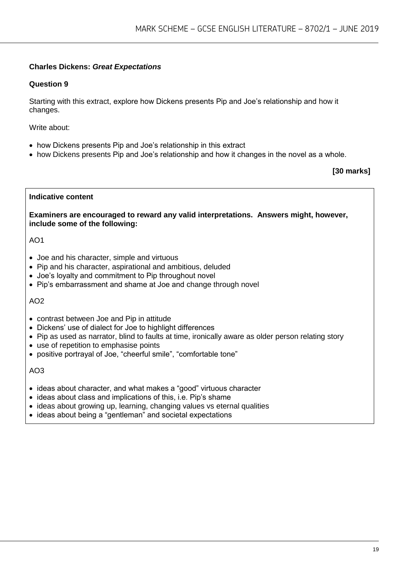# **Charles Dickens:** *Great Expectations*

### **Question 9**

Starting with this extract, explore how Dickens presents Pip and Joe's relationship and how it changes.

Write about:

- how Dickens presents Pip and Joe's relationship in this extract
- how Dickens presents Pip and Joe's relationship and how it changes in the novel as a whole.

**[30 marks]**

#### **Indicative content**

**Examiners are encouraged to reward any valid interpretations. Answers might, however, include some of the following:**

#### AO1

- Joe and his character, simple and virtuous
- Pip and his character, aspirational and ambitious, deluded
- Joe's loyalty and commitment to Pip throughout novel
- Pip's embarrassment and shame at Joe and change through novel

#### AO2

- contrast between Joe and Pip in attitude
- Dickens' use of dialect for Joe to highlight differences
- Pip as used as narrator, blind to faults at time, ironically aware as older person relating story
- use of repetition to emphasise points
- positive portrayal of Joe, "cheerful smile", "comfortable tone"

- ideas about character, and what makes a "good" virtuous character
- ideas about class and implications of this, i.e. Pip's shame
- ideas about growing up, learning, changing values vs eternal qualities
- ideas about being a "gentleman" and societal expectations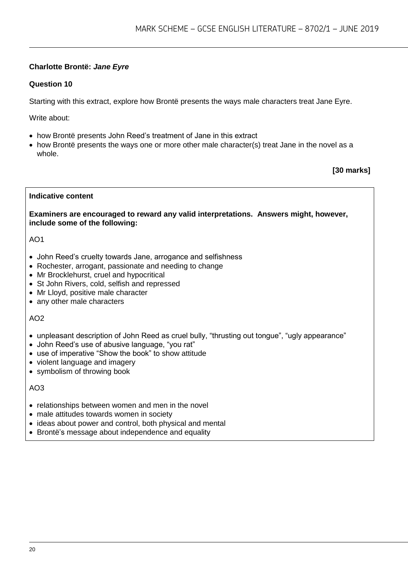# **Charlotte Brontë:** *Jane Eyre*

# **Question 10**

Starting with this extract, explore how Brontë presents the ways male characters treat Jane Eyre.

Write about:

- how Brontë presents John Reed's treatment of Jane in this extract
- how Brontë presents the ways one or more other male character(s) treat Jane in the novel as a whole.

**[30 marks]**

#### **Indicative content**

**Examiners are encouraged to reward any valid interpretations. Answers might, however, include some of the following:**

### $AO1$

- John Reed's cruelty towards Jane, arrogance and selfishness
- Rochester, arrogant, passionate and needing to change
- Mr Brocklehurst, cruel and hypocritical
- St John Rivers, cold, selfish and repressed
- Mr Lloyd, positive male character
- any other male characters

#### $AO2$

- unpleasant description of John Reed as cruel bully, "thrusting out tongue", "ugly appearance"
- John Reed's use of abusive language, "you rat"
- use of imperative "Show the book" to show attitude
- violent language and imagery
- symbolism of throwing book

- relationships between women and men in the novel
- male attitudes towards women in society
- ideas about power and control, both physical and mental
- Brontë's message about independence and equality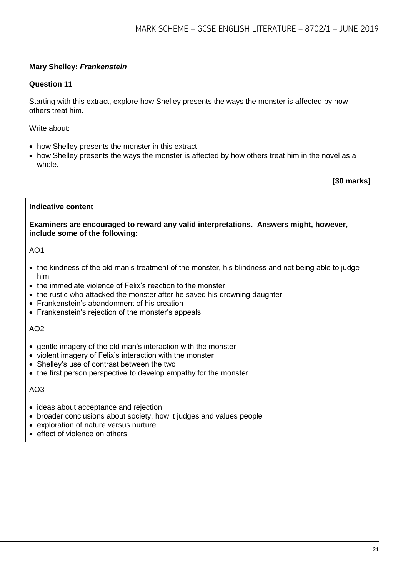# **Mary Shelley:** *Frankenstein*

#### **Question 11**

Starting with this extract, explore how Shelley presents the ways the monster is affected by how others treat him.

Write about:

- how Shelley presents the monster in this extract
- how Shelley presents the ways the monster is affected by how others treat him in the novel as a whole.

**[30 marks]**

#### **Indicative content**

**Examiners are encouraged to reward any valid interpretations. Answers might, however, include some of the following:**

AO1

- the kindness of the old man's treatment of the monster, his blindness and not being able to judge him
- the immediate violence of Felix's reaction to the monster
- the rustic who attacked the monster after he saved his drowning daughter
- Frankenstein's abandonment of his creation
- Frankenstein's rejection of the monster's appeals

#### AO2

- gentle imagery of the old man's interaction with the monster
- violent imagery of Felix's interaction with the monster
- Shelley's use of contrast between the two
- the first person perspective to develop empathy for the monster

- ideas about acceptance and rejection
- broader conclusions about society, how it judges and values people
- exploration of nature versus nurture
- effect of violence on others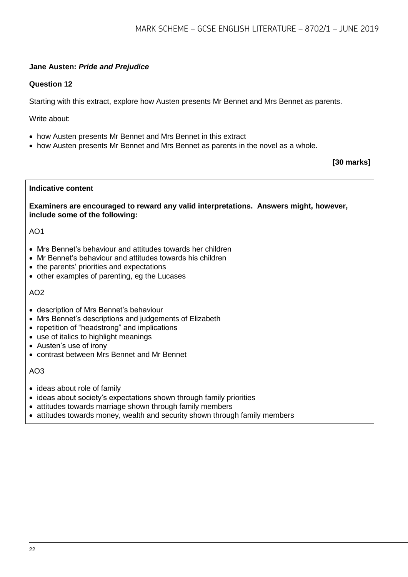# **Jane Austen:** *Pride and Prejudice*

# **Question 12**

Starting with this extract, explore how Austen presents Mr Bennet and Mrs Bennet as parents.

Write about:

- how Austen presents Mr Bennet and Mrs Bennet in this extract
- how Austen presents Mr Bennet and Mrs Bennet as parents in the novel as a whole.

**[30 marks]**

# **Indicative content**

**Examiners are encouraged to reward any valid interpretations. Answers might, however, include some of the following:**

### AO1

- Mrs Bennet's behaviour and attitudes towards her children
- Mr Bennet's behaviour and attitudes towards his children
- the parents' priorities and expectations
- other examples of parenting, eg the Lucases

#### $AO2$

- description of Mrs Bennet's behaviour
- Mrs Bennet's descriptions and judgements of Elizabeth
- repetition of "headstrong" and implications
- use of italics to highlight meanings
- Austen's use of irony
- contrast between Mrs Bennet and Mr Bennet

- ideas about role of family
- ideas about society's expectations shown through family priorities
- attitudes towards marriage shown through family members
- attitudes towards money, wealth and security shown through family members